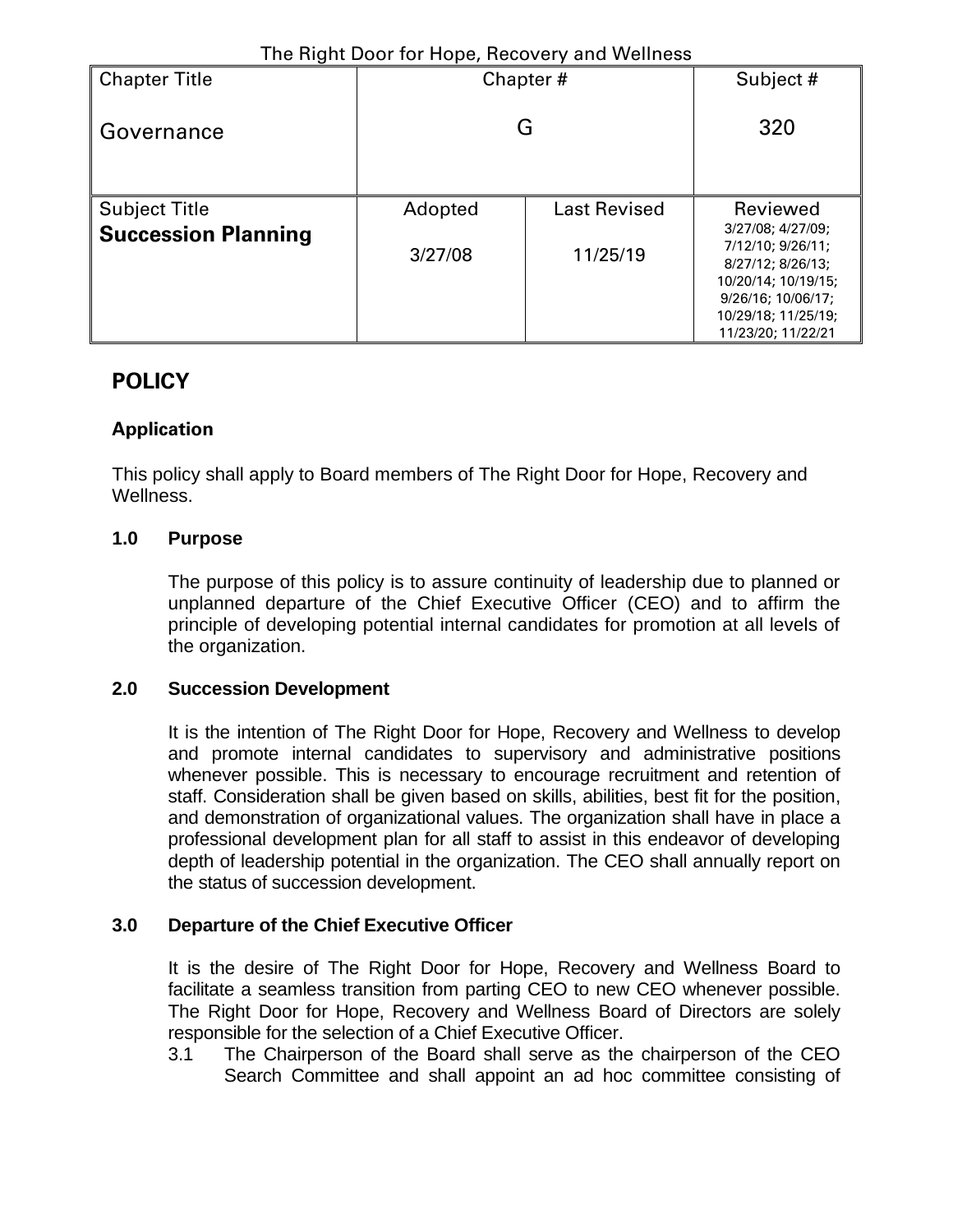| <b>Chapter Title</b>       | Chapter# | Subject #           |                                                                                                                                                       |
|----------------------------|----------|---------------------|-------------------------------------------------------------------------------------------------------------------------------------------------------|
| Governance                 | G        | 320                 |                                                                                                                                                       |
| <b>Subject Title</b>       | Adopted  | <b>Last Revised</b> | Reviewed                                                                                                                                              |
| <b>Succession Planning</b> | 3/27/08  | 11/25/19            | 3/27/08; 4/27/09;<br>7/12/10; 9/26/11;<br>8/27/12; 8/26/13;<br>10/20/14; 10/19/15;<br>9/26/16; 10/06/17;<br>10/29/18; 11/25/19;<br>11/23/20; 11/22/21 |

## **POLICY**

### **Application**

This policy shall apply to Board members of The Right Door for Hope, Recovery and Wellness.

#### **1.0 Purpose**

The purpose of this policy is to assure continuity of leadership due to planned or unplanned departure of the Chief Executive Officer (CEO) and to affirm the principle of developing potential internal candidates for promotion at all levels of the organization.

#### **2.0 Succession Development**

It is the intention of The Right Door for Hope, Recovery and Wellness to develop and promote internal candidates to supervisory and administrative positions whenever possible. This is necessary to encourage recruitment and retention of staff. Consideration shall be given based on skills, abilities, best fit for the position, and demonstration of organizational values. The organization shall have in place a professional development plan for all staff to assist in this endeavor of developing depth of leadership potential in the organization. The CEO shall annually report on the status of succession development.

#### **3.0 Departure of the Chief Executive Officer**

It is the desire of The Right Door for Hope, Recovery and Wellness Board to facilitate a seamless transition from parting CEO to new CEO whenever possible. The Right Door for Hope, Recovery and Wellness Board of Directors are solely responsible for the selection of a Chief Executive Officer.

3.1 The Chairperson of the Board shall serve as the chairperson of the CEO Search Committee and shall appoint an ad hoc committee consisting of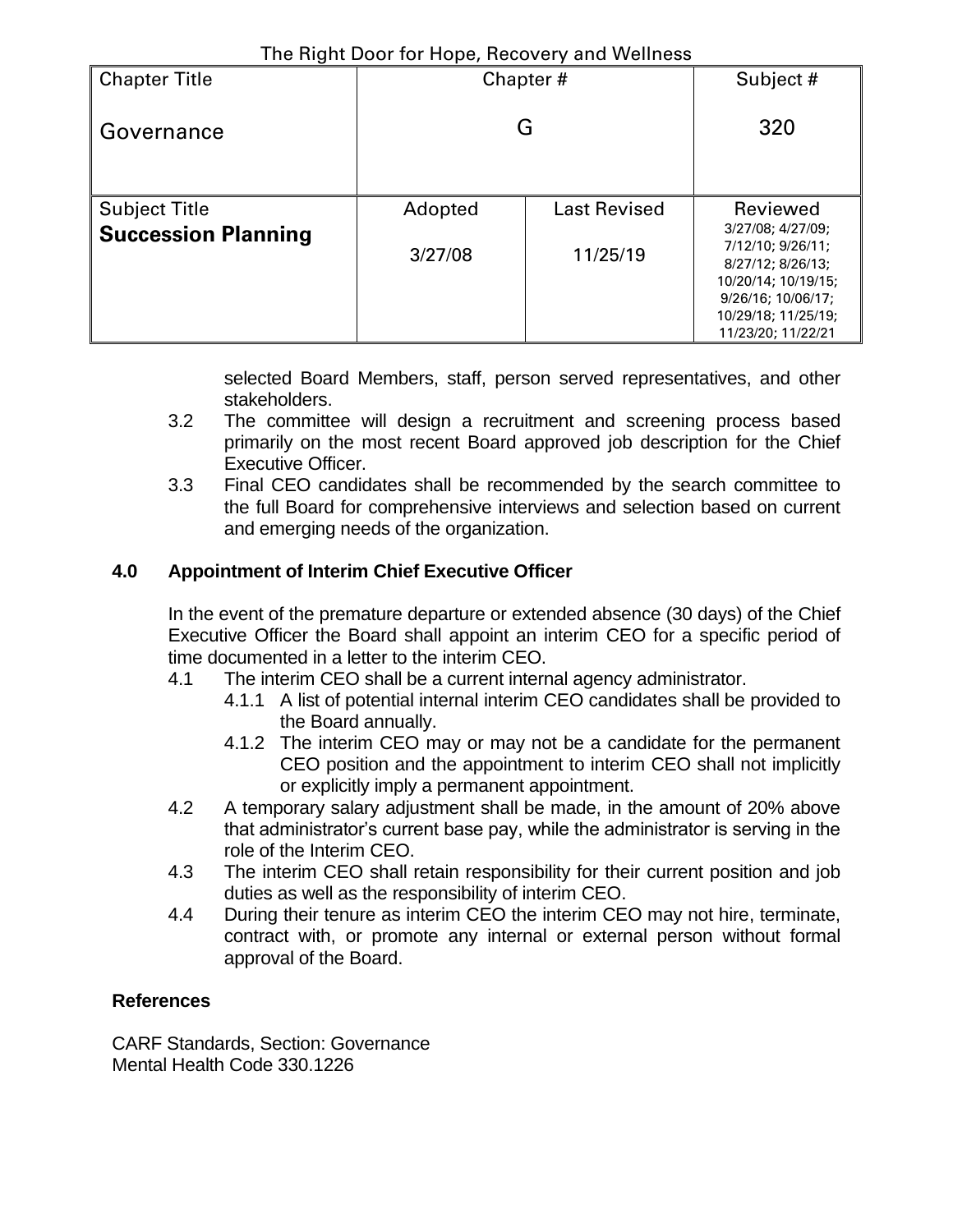| <b>Chapter Title</b>       | Chapter# | Subject #           |                                                                                                                                                       |
|----------------------------|----------|---------------------|-------------------------------------------------------------------------------------------------------------------------------------------------------|
| Governance                 | G        | 320                 |                                                                                                                                                       |
| <b>Subject Title</b>       | Adopted  | <b>Last Revised</b> | Reviewed                                                                                                                                              |
| <b>Succession Planning</b> | 3/27/08  | 11/25/19            | 3/27/08; 4/27/09;<br>7/12/10; 9/26/11;<br>8/27/12: 8/26/13:<br>10/20/14; 10/19/15;<br>9/26/16; 10/06/17;<br>10/29/18; 11/25/19;<br>11/23/20; 11/22/21 |

selected Board Members, staff, person served representatives, and other stakeholders.

- 3.2 The committee will design a recruitment and screening process based primarily on the most recent Board approved job description for the Chief Executive Officer.
- 3.3 Final CEO candidates shall be recommended by the search committee to the full Board for comprehensive interviews and selection based on current and emerging needs of the organization.

## **4.0 Appointment of Interim Chief Executive Officer**

In the event of the premature departure or extended absence (30 days) of the Chief Executive Officer the Board shall appoint an interim CEO for a specific period of time documented in a letter to the interim CEO.

- 4.1 The interim CEO shall be a current internal agency administrator.
	- 4.1.1 A list of potential internal interim CEO candidates shall be provided to the Board annually.
	- 4.1.2 The interim CEO may or may not be a candidate for the permanent CEO position and the appointment to interim CEO shall not implicitly or explicitly imply a permanent appointment.
- 4.2 A temporary salary adjustment shall be made, in the amount of 20% above that administrator's current base pay, while the administrator is serving in the role of the Interim CEO.
- 4.3 The interim CEO shall retain responsibility for their current position and job duties as well as the responsibility of interim CEO.
- 4.4 During their tenure as interim CEO the interim CEO may not hire, terminate, contract with, or promote any internal or external person without formal approval of the Board.

### **References**

CARF Standards, Section: Governance Mental Health Code 330.1226